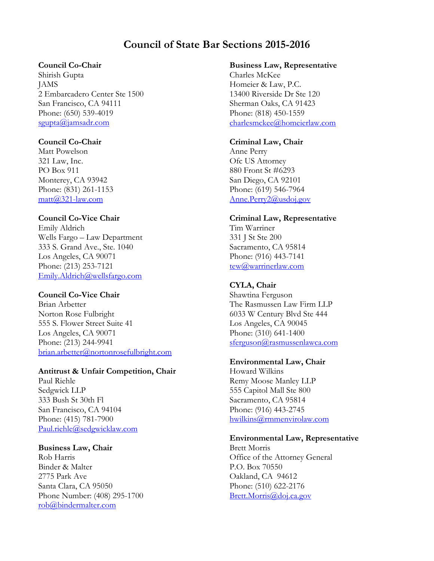# **Council of State Bar Sections 2015-2016**

# **Council Co-Chair**

Shirish Gupta JAMS 2 Embarcadero Center Ste 1500 San Francisco, CA 94111 Phone: (650) 539-4019 [sgupta@jamsadr.com](mailto:sgupta@jamsadr.com) 

# **Council Co-Chair**

Matt Powelson 321 Law, Inc. PO Box 911 Monterey, CA 93942 Phone: (831) 261-1153 [matt@321-law.com](https://membermail.calbar.org/members/show/edit.tml?id=20510002&from=view¤t_list=sec-council)

# **Council Co-Vice Chair**

Emily Aldrich Wells Fargo – Law Department 333 S. Grand Ave., Ste. 1040 Los Angeles, CA 90071 Phone: (213) 253-7121 [Emily.Aldrich@wellsfargo.com](mailto:Emily.Aldrich@wellsfargo.com)

# **Council Co-Vice Chair**

Brian Arbetter Norton Rose Fulbright 555 S. Flower Street Suite 41 Los Angeles, CA 90071 Phone: (213) 244-9941 [brian.arbetter@nortonrosefulbright.com](mailto:%20brian.arbetter@nortonrosefulbright.com) 

### **Antitrust & Unfair Competition, Chair**

Paul Riehle Sedgwick LLP 333 Bush St 30th Fl San Francisco, CA 94104 Phone: (415) 781-7900 [Paul.riehle@sedgwicklaw.com](mailto:Paul.riehle@sedgwicklaw.com)

# **Business Law, Chair**

Rob Harris Binder & Malter 2775 Park Ave Santa Clara, CA 95050 Phone Number: (408) 295-1700 [rob@bindermalter.com](mailto:rob@bindermalter.com)

### **Business Law, Representative**

Charles McKee Homeier & Law, P.C. 13400 Riverside Dr Ste 120 Sherman Oaks, CA 91423 Phone: (818) 450-1559 [charlesmckee@homeierlaw.com](https://membermail.calbar.org/members/show/edit.tml?id=19583492&from=view¤t_list=sec-council)

### **Criminal Law, Chair**

Anne Perry Ofc US Attorney 880 Front St #6293 San Diego, CA 92101 Phone: (619) 546-7964 [Anne.Perry2@usdoj.gov](mailto:Anne.Perry2@usdoj.gov)

# **Criminal Law, Representative**

Tim Warriner 331 J St Ste 200 Sacramento, CA 95814 Phone: (916) 443-7141 [tew@warrinerlaw.com](mailto:tew@warrinerlaw.com)

# **CYLA, Chair**

Shawtina Ferguson The Rasmussen Law Firm LLP 6033 W Century Blvd Ste 444 Los Angeles, CA 90045 Phone: (310) 641-1400 [sferguson@rasmussenlawca.com](mailto:sferguson@rasmussenlawca.com)

# **Environmental Law, Chair**

Howard Wilkins Remy Moose Manley LLP 555 Capitol Mall Ste 800 Sacramento, CA 95814 Phone: (916) 443-2745 [hwilkins@rmmenvirolaw.com](mailto:hwilkins@rmmenvirolaw.com)

### **Environmental Law, Representative**

Brett Morris Office of the Attorney General P.O. Box 70550 Oakland, CA 94612 Phone: (510) 622-2176 [Brett.Morris@doj.ca.gov](https://membermail.calbar.org/members/show/edit.tml?id=16484620&from=view¤t_list=sec-council)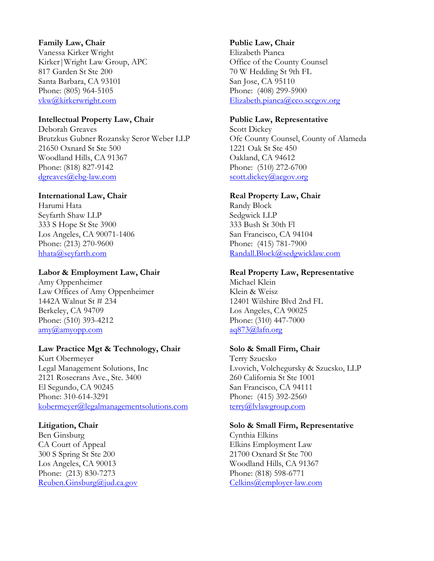### **Family Law, Chair**

Vanessa Kirker Wright Kirker|Wright Law Group, APC 817 Garden St Ste 200 Santa Barbara, CA 93101 Phone: (805) 964-5105 [vkw@kirkerwright.com](mailto:vkw@kirkerwright.com)

### **Intellectual Property Law, Chair**

Deborah Greaves Brutzkus Gubner Rozansky Seror Weber LLP 21650 Oxnard St Ste 500 Woodland Hills, CA 91367 Phone: (818) 827-9142 [dgreaves@ebg-law.com](mailto:dgreaves@ebg-law.com)

#### **International Law, Chair**

Harumi Hata Seyfarth Shaw LLP 333 S Hope St Ste 3900 Los Angeles, CA 90071-1406 Phone: (213) 270-9600 [hhata@seyfarth.com](mailto:hhata@seyfarth.com)

#### **Labor & Employment Law, Chair**

Amy Oppenheimer Law Offices of Amy Oppenheimer 1442A Walnut St # 234 Berkeley, CA 94709 Phone: (510) 393-4212 [amy@amyopp.com](mailto:amy@amyopp.com)

#### **Law Practice Mgt & Technology, Chair**

Kurt Obermeyer Legal Management Solutions, Inc 2121 Rosecrans Ave., Ste. 3400 El Segundo, CA 90245 Phone: 310-614-3291 [kobermeyer@legalmanagementsolutions.com](mailto:kobermeyer@legalmanagementsolutions.com)

#### **Litigation, Chair**

Ben Ginsburg CA Court of Appeal 300 S Spring St Ste 200 Los Angeles, CA 90013 Phone: (213) 830-7273 [Reuben.Ginsburg@jud.ca.gov](mailto:Reuben.Ginsburg@jud.ca.gov) 

#### **Public Law, Chair**

Elizabeth Pianca Office of the County Counsel 70 W Hedding St 9th FL San Jose, CA 95110 Phone: (408) 299-5900 [Elizabeth.pianca@cco.sccgov.org](mailto:Elizabeth.pianca@cco.sccgov.org)

#### **Public Law, Representative**

Scott Dickey Ofc County Counsel, County of Alameda 1221 Oak St Ste 450 Oakland, CA 94612 Phone: (510) 272-6700 [scott.dickey@acgov.org](mailto:scott.dickey@acgov.org)

#### **Real Property Law, Chair**

Randy Block Sedgwick LLP 333 Bush St 30th Fl San Francisco, CA 94104 Phone: (415) 781-7900 [Randall.Block@sedgwicklaw.com](mailto:Randall.Block@sedgwicklaw.com)

#### **Real Property Law, Representative**

Michael Klein Klein & Weisz 12401 Wilshire Blvd 2nd FL Los Angeles, CA 90025 Phone: (310) 447-7000 [aq873@lafn.org](mailto:aq873@lafn.org)

### **Solo & Small Firm, Chair**

Terry Szucsko Lvovich, Volchegursky & Szucsko, LLP 260 California St Ste 1001 San Francisco, CA 94111 Phone: (415) 392-2560 terry@lvlawgroup.com

#### **Solo & Small Firm, Representative**

Cynthia Elkins Elkins Employment Law 21700 Oxnard St Ste 700 Woodland Hills, CA 91367 Phone: (818) 598-6771 [Celkins@employer-law.com](mailto:Celkins@employer-law.com)